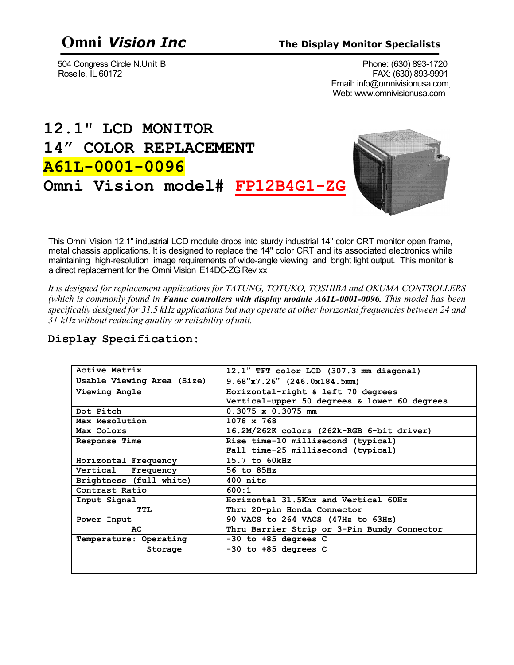504 Congress Circle N.Unit B<br>Roselle, IL 60172 Phone: (630) 893-1720 FAX: (630) 893-9991 Email: [info@omnivisionusa.com](mailto:info@omnivisionusa.com) Web: [www.omnivisionusa.com](http://www.omnivisionusa.com/)

# **12.1" LCD MONITOR 14" COLOR REPLACEMENT A61L-0001-0096 Omni Vision model# FP12B4G1-ZG**



This Omni Vision 12.1" industrial LCD module drops into sturdy industrial 14" color CRT monitor open frame, metal chassis applications. It is designed to replace the 14" color CRT and its associated electronics while maintaining high-resolution image requirements of wide-angle viewing and bright light output. This monitor is a direct replacement for the Omni Vision E14DC-ZG Rev xx

*It is designed for replacement applications for TATUNG, TOTUKO, TOSHIBA and OKUMA CONTROLLERS (which is commonly found in Fanuc controllers with display module A61L-0001-0096. This model has been specifically designed for 31.5 kHz applications but may operate at other horizontal frequencies between 24 and 31 kHz without reducing quality or reliability of unit.*

| Active Matrix              | 12.1" TFT color LCD (307.3 mm diagonal)      |
|----------------------------|----------------------------------------------|
| Usable Viewing Area (Size) | $9.68$ "x7.26" (246.0x184.5mm)               |
| Viewing Angle              | Horizontal-right & left 70 degrees           |
|                            | Vertical-upper 50 degrees & lower 60 degrees |
| Dot Pitch                  | $0.3075 \times 0.3075 \text{ mm}$            |
| Max Resolution             | $1078 \times 768$                            |
| Max Colors                 | 16.2M/262K colors (262k-RGB 6-bit driver)    |
| Response Time              | Rise time-10 millisecond (typical)           |
|                            | Fall time-25 millisecond (typical)           |
| Horizontal Frequency       | 15.7 to 60kHz                                |
| Vertical Frequency         | 56 to 85Hz                                   |
| Brightness (full white)    | $400$ nits                                   |
| Contrast Ratio             | 600:1                                        |
| Input Signal               | Horizontal 31.5Khz and Vertical 60Hz         |
| TTL.                       | Thru 20-pin Honda Connector                  |
| Power Input                | 90 VACS to 264 VACS (47Hz to 63Hz)           |
| AC                         | Thru Barrier Strip or 3-Pin Bumdy Connector  |
| Temperature: Operating     | $-30$ to $+85$ degrees C                     |
| Storage                    | $-30$ to $+85$ degrees C                     |
|                            |                                              |
|                            |                                              |

### **Display Specification:**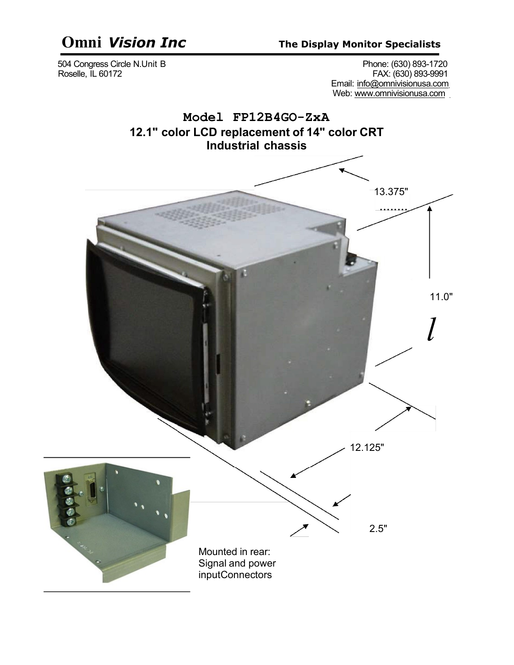# **Omni** *Vision Inc* **The Display Monitor Specialists**

 504 Congress Circle N.Unit B Phone: (630) 893-1720 Roselle, IL 60172 FAX: (630) 893-9991 Email: [info@omnivisionusa.com](mailto:info@omnivisionusa.com) Web: [www.omnivisionusa.com](http://www.omnivisionusa.com/)